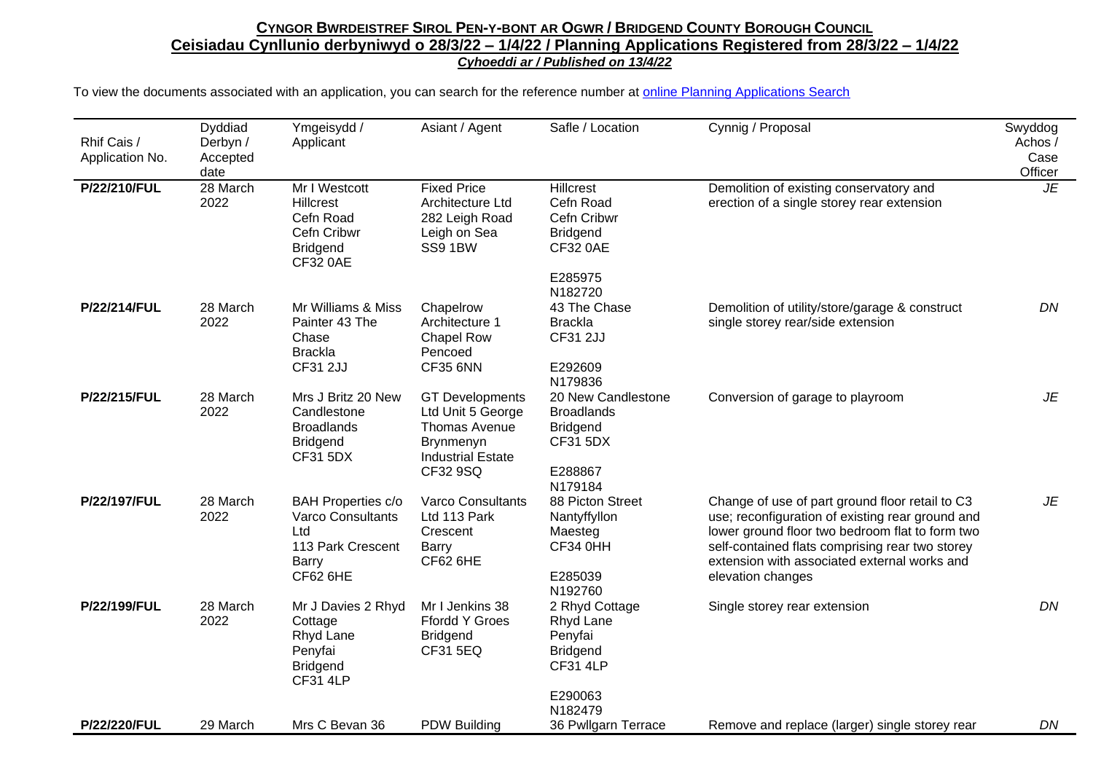## CYNGOR BWRDEISTREF SIROL PEN-Y-BONT AR OGWR / BRIDGEND COUNTY BOROUGH COUNCIL **Ceisiadau Cynllunio derbyniwyd o 28/3/22 – 1/4/22 / Planning Applications Registered from 28/3/22 – 1/4/22** *Cyhoeddi ar / Published on 13/4/22*

To view the documents associated with an application, you can search for the reference number at [online Planning Applications Search](http://planning.bridgend.gov.uk/)

| Rhif Cais /<br>Application No. | Dyddiad<br>Derbyn /<br>Accepted<br>date | Ymgeisydd /<br>Applicant                                                                                      | Asiant / Agent                                                                                                                  | Safle / Location                                                                                         | Cynnig / Proposal                                                                                                                                                                                                                                                              | Swyddog<br>Achos /<br>Case<br>Officer |
|--------------------------------|-----------------------------------------|---------------------------------------------------------------------------------------------------------------|---------------------------------------------------------------------------------------------------------------------------------|----------------------------------------------------------------------------------------------------------|--------------------------------------------------------------------------------------------------------------------------------------------------------------------------------------------------------------------------------------------------------------------------------|---------------------------------------|
| P/22/210/FUL                   | 28 March<br>2022                        | Mr I Westcott<br><b>Hillcrest</b><br>Cefn Road<br>Cefn Cribwr<br><b>Bridgend</b><br><b>CF32 0AE</b>           | <b>Fixed Price</b><br>Architecture Ltd<br>282 Leigh Road<br>Leigh on Sea<br>SS9 1BW                                             | <b>Hillcrest</b><br>Cefn Road<br>Cefn Cribwr<br><b>Bridgend</b><br><b>CF32 0AE</b><br>E285975<br>N182720 | Demolition of existing conservatory and<br>erection of a single storey rear extension                                                                                                                                                                                          | <b>JE</b>                             |
| P/22/214/FUL                   | 28 March<br>2022                        | Mr Williams & Miss<br>Painter 43 The<br>Chase<br><b>Brackla</b><br><b>CF31 2JJ</b>                            | Chapelrow<br>Architecture 1<br><b>Chapel Row</b><br>Pencoed<br><b>CF35 6NN</b>                                                  | 43 The Chase<br><b>Brackla</b><br><b>CF31 2JJ</b><br>E292609<br>N179836                                  | Demolition of utility/store/garage & construct<br>single storey rear/side extension                                                                                                                                                                                            | DN                                    |
| P/22/215/FUL                   | 28 March<br>2022                        | Mrs J Britz 20 New<br>Candlestone<br><b>Broadlands</b><br><b>Bridgend</b><br><b>CF31 5DX</b>                  | <b>GT Developments</b><br>Ltd Unit 5 George<br><b>Thomas Avenue</b><br><b>Brynmenyn</b><br><b>Industrial Estate</b><br>CF32 9SQ | 20 New Candlestone<br><b>Broadlands</b><br><b>Bridgend</b><br><b>CF31 5DX</b><br>E288867<br>N179184      | Conversion of garage to playroom                                                                                                                                                                                                                                               | JE                                    |
| <b>P/22/197/FUL</b>            | 28 March<br>2022                        | <b>BAH Properties c/o</b><br>Varco Consultants<br>Ltd<br>113 Park Crescent<br><b>Barry</b><br><b>CF62 6HE</b> | <b>Varco Consultants</b><br>Ltd 113 Park<br>Crescent<br><b>Barry</b><br>CF62 6HE                                                | 88 Picton Street<br>Nantyffyllon<br>Maesteg<br><b>CF34 0HH</b><br>E285039<br>N192760                     | Change of use of part ground floor retail to C3<br>use; reconfiguration of existing rear ground and<br>lower ground floor two bedroom flat to form two<br>self-contained flats comprising rear two storey<br>extension with associated external works and<br>elevation changes | JE                                    |
| P/22/199/FUL                   | 28 March<br>2022                        | Mr J Davies 2 Rhyd<br>Cottage<br>Rhyd Lane<br>Penyfai<br><b>Bridgend</b><br><b>CF31 4LP</b>                   | Mr I Jenkins 38<br><b>Ffordd Y Groes</b><br><b>Bridgend</b><br><b>CF31 5EQ</b>                                                  | 2 Rhyd Cottage<br>Rhyd Lane<br>Penyfai<br><b>Bridgend</b><br><b>CF31 4LP</b><br>E290063<br>N182479       | Single storey rear extension                                                                                                                                                                                                                                                   | DN                                    |
| P/22/220/FUL                   | 29 March                                | Mrs C Bevan 36                                                                                                | <b>PDW Building</b>                                                                                                             | 36 Pwllgarn Terrace                                                                                      | Remove and replace (larger) single storey rear                                                                                                                                                                                                                                 | DN                                    |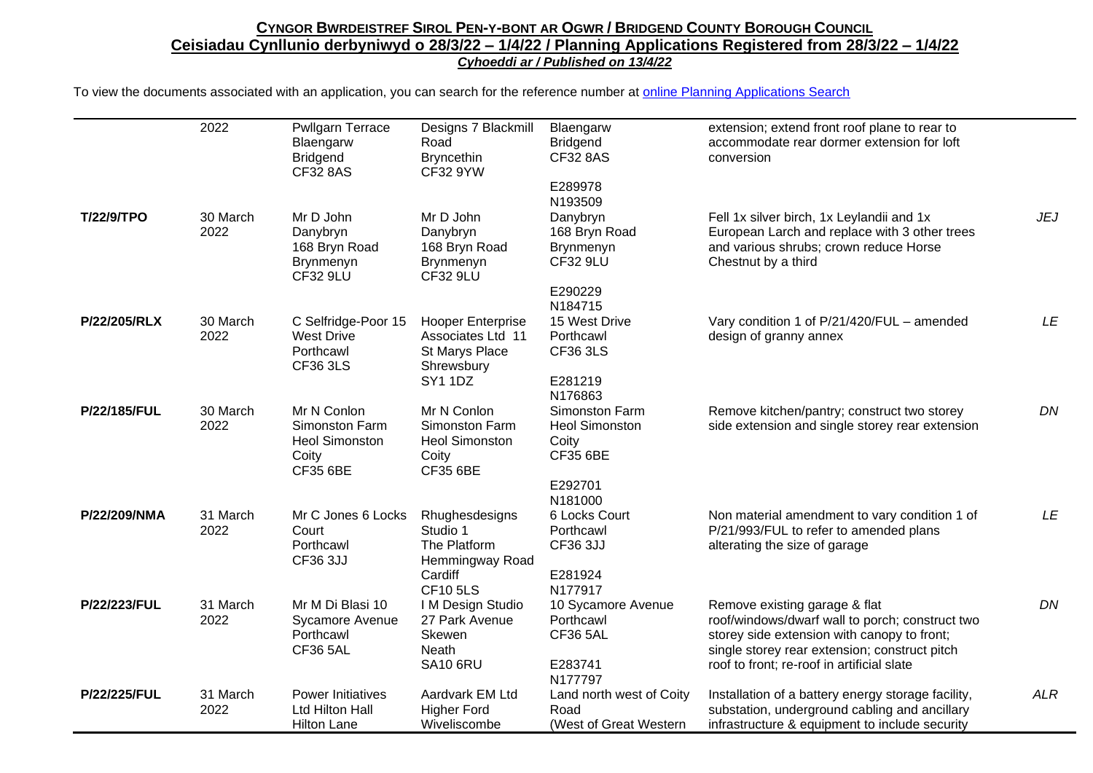## CYNGOR BWRDEISTREF SIROL PEN-Y-BONT AR OGWR / BRIDGEND COUNTY BOROUGH COUNCIL **Ceisiadau Cynllunio derbyniwyd o 28/3/22 – 1/4/22 / Planning Applications Registered from 28/3/22 – 1/4/22** *Cyhoeddi ar / Published on 13/4/22*

To view the documents associated with an application, you can search for the reference number at [online Planning Applications Search](http://planning.bridgend.gov.uk/)

|                     | 2022             | <b>Pwllgarn Terrace</b><br>Blaengarw<br><b>Bridgend</b><br><b>CF32 8AS</b>  | Designs 7 Blackmill<br>Road<br><b>Bryncethin</b><br><b>CF32 9YW</b>                | Blaengarw<br><b>Bridgend</b><br><b>CF32 8AS</b>                     | extension; extend front roof plane to rear to<br>accommodate rear dormer extension for loft<br>conversion                                                                                                                      |            |
|---------------------|------------------|-----------------------------------------------------------------------------|------------------------------------------------------------------------------------|---------------------------------------------------------------------|--------------------------------------------------------------------------------------------------------------------------------------------------------------------------------------------------------------------------------|------------|
| T/22/9/TPO          | 30 March         | Mr D John                                                                   | Mr D John                                                                          | E289978<br>N193509<br>Danybryn                                      | Fell 1x silver birch, 1x Leylandii and 1x                                                                                                                                                                                      | <b>JEJ</b> |
|                     | 2022             | Danybryn<br>168 Bryn Road<br>Brynmenyn<br><b>CF32 9LU</b>                   | Danybryn<br>168 Bryn Road<br>Brynmenyn<br><b>CF32 9LU</b>                          | 168 Bryn Road<br>Brynmenyn<br><b>CF32 9LU</b>                       | European Larch and replace with 3 other trees<br>and various shrubs; crown reduce Horse<br>Chestnut by a third                                                                                                                 |            |
|                     |                  |                                                                             |                                                                                    | E290229<br>N184715                                                  |                                                                                                                                                                                                                                |            |
| P/22/205/RLX        | 30 March<br>2022 | C Selfridge-Poor 15<br><b>West Drive</b><br>Porthcawl<br><b>CF36 3LS</b>    | <b>Hooper Enterprise</b><br>Associates Ltd 11<br>St Marys Place<br>Shrewsbury      | 15 West Drive<br>Porthcawl<br><b>CF36 3LS</b>                       | Vary condition 1 of P/21/420/FUL - amended<br>design of granny annex                                                                                                                                                           | LE         |
|                     |                  |                                                                             | <b>SY1 1DZ</b>                                                                     | E281219<br>N176863                                                  |                                                                                                                                                                                                                                |            |
| P/22/185/FUL        | 30 March<br>2022 | Mr N Conlon<br>Simonston Farm<br><b>Heol Simonston</b><br>Coity<br>CF35 6BE | Mr N Conlon<br>Simonston Farm<br><b>Heol Simonston</b><br>Coity<br><b>CF35 6BE</b> | Simonston Farm<br><b>Heol Simonston</b><br>Coity<br><b>CF35 6BE</b> | Remove kitchen/pantry; construct two storey<br>side extension and single storey rear extension                                                                                                                                 | DN         |
|                     |                  |                                                                             |                                                                                    | E292701<br>N181000                                                  |                                                                                                                                                                                                                                |            |
| P/22/209/NMA        | 31 March<br>2022 | Mr C Jones 6 Locks<br>Court<br>Porthcawl<br>CF36 3JJ                        | Rhughesdesigns<br>Studio 1<br>The Platform<br>Hemmingway Road                      | 6 Locks Court<br>Porthcawl<br>CF36 3JJ                              | Non material amendment to vary condition 1 of<br>P/21/993/FUL to refer to amended plans<br>alterating the size of garage                                                                                                       | LE         |
|                     |                  |                                                                             | Cardiff<br><b>CF105LS</b>                                                          | E281924<br>N177917                                                  |                                                                                                                                                                                                                                |            |
| P/22/223/FUL        | 31 March<br>2022 | Mr M Di Blasi 10<br><b>Sycamore Avenue</b><br>Porthcawl<br><b>CF36 5AL</b>  | I M Design Studio<br>27 Park Avenue<br>Skewen<br>Neath<br><b>SA10 6RU</b>          | 10 Sycamore Avenue<br>Porthcawl<br><b>CF36 5AL</b><br>E283741       | Remove existing garage & flat<br>roof/windows/dwarf wall to porch; construct two<br>storey side extension with canopy to front;<br>single storey rear extension; construct pitch<br>roof to front; re-roof in artificial slate | DN         |
|                     |                  |                                                                             |                                                                                    | N177797                                                             |                                                                                                                                                                                                                                |            |
| <b>P/22/225/FUL</b> | 31 March<br>2022 | Power Initiatives<br>Ltd Hilton Hall<br><b>Hilton Lane</b>                  | Aardvark EM Ltd<br><b>Higher Ford</b><br>Wiveliscombe                              | Land north west of Coity<br>Road<br>(West of Great Western          | Installation of a battery energy storage facility,<br>substation, underground cabling and ancillary<br>infrastructure & equipment to include security                                                                          | <b>ALR</b> |